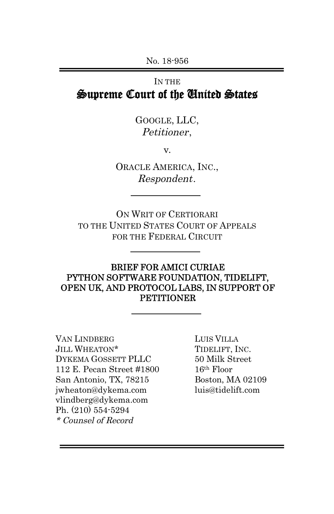No. 18-956

# IN THE Supreme Court of the United States

GOOGLE, LLC, Petitioner,

v.

ORACLE AMERICA, INC., Respondent.

ON WRIT OF CERTIORARI TO THE UNITED STATES COURT OF APPEALS FOR THE FEDERAL CIRCUIT

### BRIEF FOR AMICI CURIAE PYTHON SOFTWARE FOUNDATION, TIDELIFT, OPEN UK, AND PROTOCOL LABS, IN SUPPORT OF **PETITIONER**

VAN LINDBERG LUIS VILLA JILL WHEATON\* TIDELIFT, INC. DYKEMA GOSSETT PLLC 50 Milk Street 112 E. Pecan Street #1800 16th Floor San Antonio, TX, 78215 Boston, MA 02109 [jwheaton@dykema.com](mailto:jwheaton@dykema.com) luis@tidelift.com [vlindberg@dykema.com](mailto:vlindberg@dykema.com) Ph. (210) 554-5294 \* Counsel of Record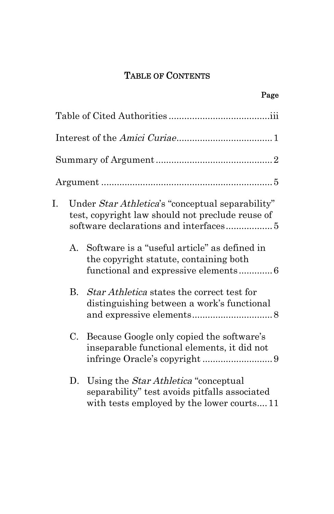# TABLE OF CONTENTS

Page

| I. | Under Star Athletica's "conceptual separability"<br>test, copyright law should not preclude reuse of |                                                                                                                                            |  |  |  |  |
|----|------------------------------------------------------------------------------------------------------|--------------------------------------------------------------------------------------------------------------------------------------------|--|--|--|--|
|    | $A_{\cdot}$                                                                                          | Software is a "useful article" as defined in<br>the copyright statute, containing both<br>functional and expressive elements 6             |  |  |  |  |
|    | <b>B.</b>                                                                                            | <i>Star Athletica</i> states the correct test for<br>distinguishing between a work's functional                                            |  |  |  |  |
|    | C.                                                                                                   | Because Google only copied the software's<br>inseparable functional elements, it did not                                                   |  |  |  |  |
|    | D.                                                                                                   | Using the <i>Star Athletica</i> "conceptual"<br>separability" test avoids pitfalls associated<br>with tests employed by the lower courts11 |  |  |  |  |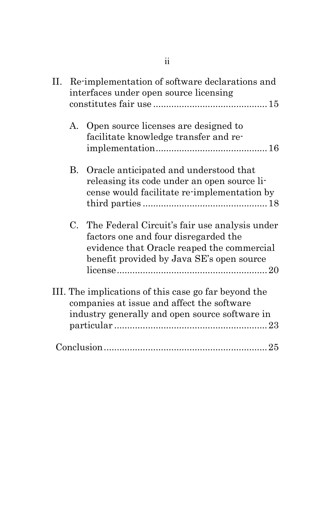| П. | Re-implementation of software declarations and<br>interfaces under open source licensing |                                                                                                                                                                                     |  |  |
|----|------------------------------------------------------------------------------------------|-------------------------------------------------------------------------------------------------------------------------------------------------------------------------------------|--|--|
|    | $A_{\cdot}$                                                                              | Open source licenses are designed to<br>facilitate knowledge transfer and re-                                                                                                       |  |  |
|    | B.                                                                                       | Oracle anticipated and understood that<br>releasing its code under an open source li-<br>cense would facilitate re-implementation by                                                |  |  |
|    |                                                                                          | C. The Federal Circuit's fair use analysis under<br>factors one and four disregarded the<br>evidence that Oracle reaped the commercial<br>benefit provided by Java SE's open source |  |  |
|    |                                                                                          | III. The implications of this case go far beyond the<br>companies at issue and affect the software<br>industry generally and open source software in                                |  |  |
|    |                                                                                          |                                                                                                                                                                                     |  |  |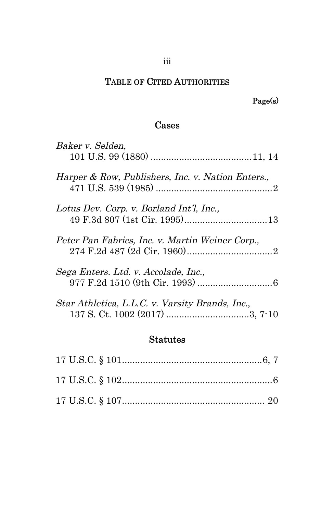# TABLE OF CITED AUTHORITIES

# Page(s)

#### Cases

| Baker v. Selden,                                                                  |
|-----------------------------------------------------------------------------------|
| Harper & Row, Publishers, Inc. v. Nation Enters.,                                 |
| Lotus Dev. Corp. v. Borland Int'l, Inc.,                                          |
| Peter Pan Fabrics, Inc. v. Martin Weiner Corp.,                                   |
| Sega Enters. Ltd. v. Accolade, Inc.,                                              |
| Star Athletica, L.L.C. v. Varsity Brands, Inc.,<br>137 S. Ct. 1002 (2017) 3, 7-10 |

#### Statutes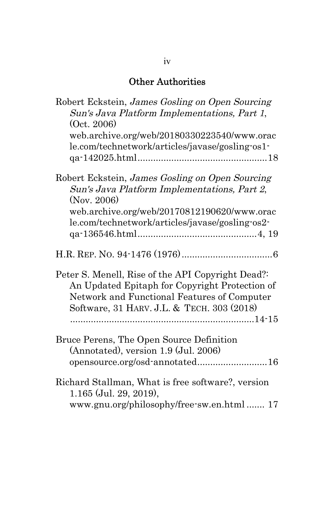# Other Authorities

| Robert Eckstein, James Gosling on Open Sourcing<br>Sun's Java Platform Implementations, Part 1,<br>(Oct. 2006)<br>web.archive.org/web/20180330223540/www.orac<br>le.com/technetwork/articles/javase/gosling-os1- |
|------------------------------------------------------------------------------------------------------------------------------------------------------------------------------------------------------------------|
| Robert Eckstein, James Gosling on Open Sourcing<br>Sun's Java Platform Implementations, Part 2,<br>(Nov. 2006)<br>web.archive.org/web/20170812190620/www.orac<br>le.com/technetwork/articles/javase/gosling-os2- |
|                                                                                                                                                                                                                  |
| Peter S. Menell, Rise of the API Copyright Dead?<br>An Updated Epitaph for Copyright Protection of<br>Network and Functional Features of Computer<br>Software, 31 HARV. J.L. & TECH. 303 (2018)                  |
| Bruce Perens, The Open Source Definition<br>(Annotated), version 1.9 (Jul. 2006)<br>opensource.org/osd-annotated16                                                                                               |
| Richard Stallman, What is free software?, version<br>$1.165$ (Jul. 29, 2019),<br>www.gnu.org/philosophy/free-sw.en.html  17                                                                                      |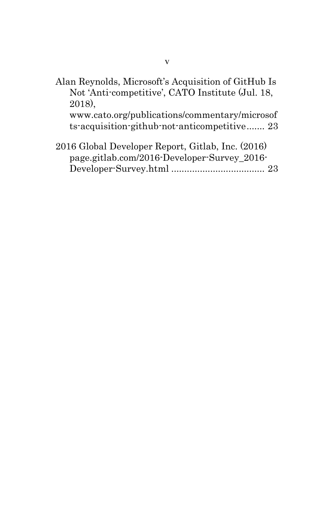Alan Reynolds, Microsoft's Acquisition of GitHub Is Not 'Anti-competitive', CATO Institute (Jul. 18, 2018), www.cato.org/publications/commentary/microsof

ts-acquisition-github-not-anticompetitive ....... 23

2016 Global Developer Report, Gitlab, Inc. (2016) page.gitlab.com/2016-Developer-Survey\_2016- Developer-Survey.html .................................... 23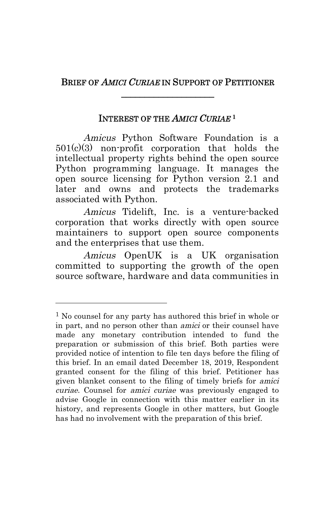# BRIEF OF *AMICI CURIAE* IN SUPPORT OF PETITIONER \_\_\_\_\_\_\_\_\_\_\_\_\_\_\_\_\_\_\_\_

### INTEREST OF THE AMICI CURIAE **1**

Amicus Python Software Foundation is a 501(c)(3) non-profit corporation that holds the intellectual property rights behind the open source Python programming language. It manages the open source licensing for Python version 2.1 and later and owns and protects the trademarks associated with Python.

Amicus Tidelift, Inc. is a venture-backed corporation that works directly with open source maintainers to support open source components and the enterprises that use them.

Amicus OpenUK is a UK organisation committed to supporting the growth of the open source software, hardware and data communities in

 $\overline{a}$ 

<sup>&</sup>lt;sup>1</sup> No counsel for any party has authored this brief in whole or in part, and no person other than amici or their counsel have made any monetary contribution intended to fund the preparation or submission of this brief. Both parties were provided notice of intention to file ten days before the filing of this brief. In an email dated December 18, 2019, Respondent granted consent for the filing of this brief. Petitioner has given blanket consent to the filing of timely briefs for amici curiae. Counsel for amici curiae was previously engaged to advise Google in connection with this matter earlier in its history, and represents Google in other matters, but Google has had no involvement with the preparation of this brief.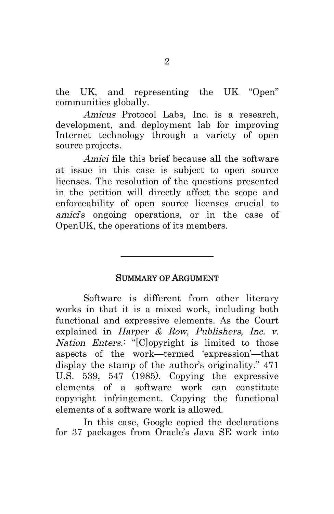the UK, and representing the UK "Open" communities globally.

Amicus Protocol Labs, Inc. is a research, development, and deployment lab for improving Internet technology through a variety of open source projects.

Amici file this brief because all the software at issue in this case is subject to open source licenses. The resolution of the questions presented in the petition will directly affect the scope and enforceability of open source licenses crucial to amici's ongoing operations, or in the case of OpenUK, the operations of its members.

#### SUMMARY OF ARGUMENT

 $\frac{1}{2}$  , and the set of the set of the set of the set of the set of the set of the set of the set of the set of the set of the set of the set of the set of the set of the set of the set of the set of the set of the set

Software is different from other literary works in that it is a mixed work, including both functional and expressive elements. As the Court explained in Harper & Row, Publishers, Inc. v. Nation Enters.: "[C]opyright is limited to those aspects of the work—termed 'expression'—that display the stamp of the author's originality." 471 U.S. 539, 547 (1985). Copying the expressive elements of a software work can constitute copyright infringement. Copying the functional elements of a software work is allowed.

In this case, Google copied the declarations for 37 packages from Oracle's Java SE work into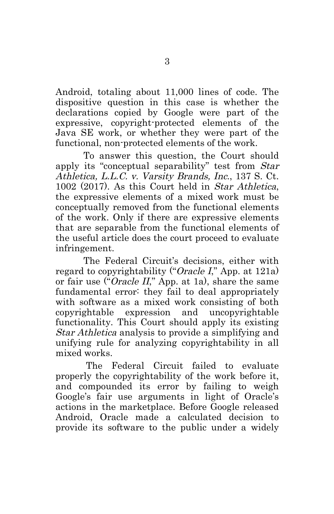Android, totaling about 11,000 lines of code. The dispositive question in this case is whether the declarations copied by Google were part of the expressive, copyright-protected elements of the Java SE work, or whether they were part of the functional, non-protected elements of the work.

To answer this question, the Court should apply its "conceptual separability" test from Star Athletica, L.L.C. v. Varsity Brands, Inc., 137 S. Ct. 1002 (2017). As this Court held in Star Athletica, the expressive elements of a mixed work must be conceptually removed from the functional elements of the work. Only if there are expressive elements that are separable from the functional elements of the useful article does the court proceed to evaluate infringement.

The Federal Circuit's decisions, either with regard to copyrightability ("Oracle I," App. at 121a) or fair use ("Oracle  $II$ ," App. at 1a), share the same fundamental error: they fail to deal appropriately with software as a mixed work consisting of both copyrightable expression and uncopyrightable functionality. This Court should apply its existing Star Athletica analysis to provide a simplifying and unifying rule for analyzing copyrightability in all mixed works.

 The Federal Circuit failed to evaluate properly the copyrightability of the work before it, and compounded its error by failing to weigh Google's fair use arguments in light of Oracle's actions in the marketplace. Before Google released Android, Oracle made a calculated decision to provide its software to the public under a widely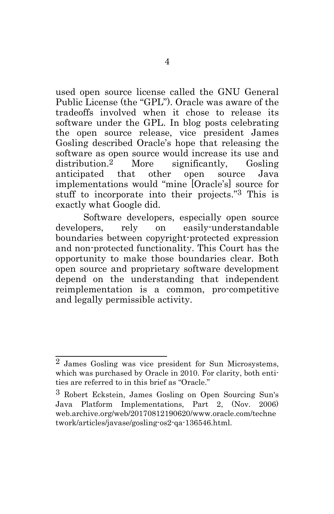used open source license called the GNU General Public License (the "GPL"). Oracle was aware of the tradeoffs involved when it chose to release its software under the GPL. In blog posts celebrating the open source release, vice president James Gosling described Oracle's hope that releasing the software as open source would increase its use and distribution.2 More significantly, Gosling anticipated that other open source Java implementations would "mine [Oracle's] source for stuff to incorporate into their projects."3 This is exactly what Google did.

Software developers, especially open source developers, rely on easily-understandable boundaries between copyright-protected expression and non-protected functionality. This Court has the opportunity to make those boundaries clear. Both open source and proprietary software development depend on the understanding that independent reimplementation is a common, pro-competitive and legally permissible activity.

<sup>&</sup>lt;sup>2</sup> James Gosling was vice president for Sun Microsystems, which was purchased by Oracle in 2010. For clarity, both entities are referred to in this brief as "Oracle."

<sup>3</sup> Robert Eckstein, James Gosling on Open Sourcing Sun's Java Platform Implementations, Part 2, (Nov. 2006) web.archive.org/web/20170812190620/www.oracle.com/techne twork/articles/javase/gosling-os2-qa-136546.html.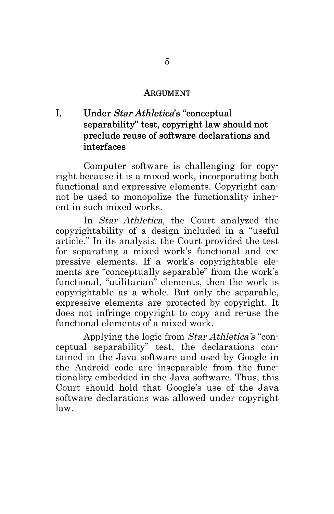#### ARGUMENT

# I. Under Star Athletica's "conceptual separability" test, copyright law should not preclude reuse of software declarations and interfaces

Computer software is challenging for copyright because it is a mixed work, incorporating both functional and expressive elements. Copyright cannot be used to monopolize the functionality inherent in such mixed works.

In Star Athletica, the Court analyzed the copyrightability of a design included in a "useful article." In its analysis, the Court provided the test for separating a mixed work's functional and expressive elements. If a work's copyrightable elements are "conceptually separable" from the work's functional, "utilitarian" elements, then the work is copyrightable as a whole. But only the separable, expressive elements are protected by copyright. It does not infringe copyright to copy and re-use the functional elements of a mixed work.

Applying the logic from Star Athletica's "conceptual separability" test, the declarations contained in the Java software and used by Google in the Android code are inseparable from the functionality embedded in the Java software. Thus, this Court should hold that Google's use of the Java software declarations was allowed under copyright law.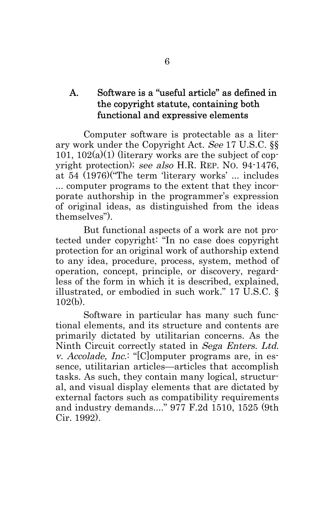## A. Software is a "useful article" as defined in the copyright statute, containing both functional and expressive elements

Computer software is protectable as a literary work under the Copyright Act. See 17 U.S.C. §§ 101,  $102(a)(1)$  (literary works are the subject of copyright protection); see also H.R. REP. NO. 94-1476, at 54 (1976)("The term 'literary works' ... includes ... computer programs to the extent that they incorporate authorship in the programmer's expression of original ideas, as distinguished from the ideas themselves").

But functional aspects of a work are not protected under copyright: "In no case does copyright protection for an original work of authorship extend to any idea, procedure, process, system, method of operation, concept, principle, or discovery, regardless of the form in which it is described, explained, illustrated, or embodied in such work." 17 U.S.C. § 102(b).

Software in particular has many such functional elements, and its structure and contents are primarily dictated by utilitarian concerns. As the Ninth Circuit correctly stated in Sega Enters. Ltd. v. Accolade, Inc.: "[C]omputer programs are, in essence, utilitarian articles—articles that accomplish tasks. As such, they contain many logical, structural, and visual display elements that are dictated by external factors such as compatibility requirements and industry demands...." 977 F.2d 1510, 1525 (9th Cir. 1992).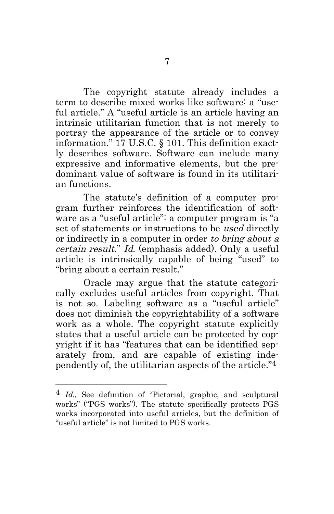The copyright statute already includes a term to describe mixed works like software: a "useful article." A "useful article is an article having an intrinsic utilitarian function that is not merely to portray the appearance of the article or to convey information." 17 U.S.C. § 101. This definition exactly describes software. Software can include many expressive and informative elements, but the predominant value of software is found in its utilitarian functions.

The statute's definition of a computer program further reinforces the identification of software as a "useful article": a computer program is "a set of statements or instructions to be used directly or indirectly in a computer in order to bring about a certain result." Id. (emphasis added). Only a useful article is intrinsically capable of being "used" to "bring about a certain result."

Oracle may argue that the statute categorically excludes useful articles from copyright. That is not so. Labeling software as a "useful article" does not diminish the copyrightability of a software work as a whole. The copyright statute explicitly states that a useful article can be protected by copyright if it has "features that can be identified separately from, and are capable of existing independently of, the utilitarian aspects of the article."4

<sup>4</sup> Id., See definition of "Pictorial, graphic, and sculptural works" ("PGS works"). The statute specifically protects PGS works incorporated into useful articles, but the definition of "useful article" is not limited to PGS works.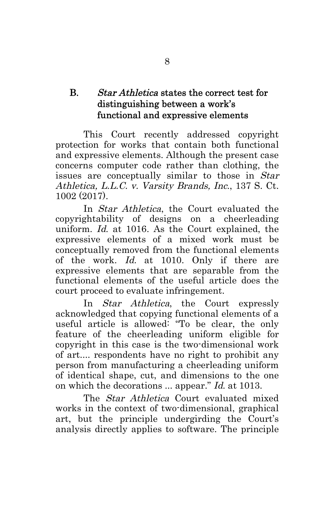# B. Star Athletica states the correct test for distinguishing between a work's functional and expressive elements

This Court recently addressed copyright protection for works that contain both functional and expressive elements. Although the present case concerns computer code rather than clothing, the issues are conceptually similar to those in Star Athletica, L.L.C. v. Varsity Brands, Inc., 137 S. Ct. 1002 (2017).

In Star Athletica, the Court evaluated the copyrightability of designs on a cheerleading uniform. Id. at 1016. As the Court explained, the expressive elements of a mixed work must be conceptually removed from the functional elements of the work. Id. at 1010. Only if there are expressive elements that are separable from the functional elements of the useful article does the court proceed to evaluate infringement.

In Star Athletica, the Court expressly acknowledged that copying functional elements of a useful article is allowed: "To be clear, the only feature of the cheerleading uniform eligible for copyright in this case is the two-dimensional work of art.... respondents have no right to prohibit any person from manufacturing a cheerleading uniform of identical shape, cut, and dimensions to the one on which the decorations ... appear." Id. at 1013.

The *Star Athletica* Court evaluated mixed works in the context of two-dimensional, graphical art, but the principle undergirding the Court's analysis directly applies to software. The principle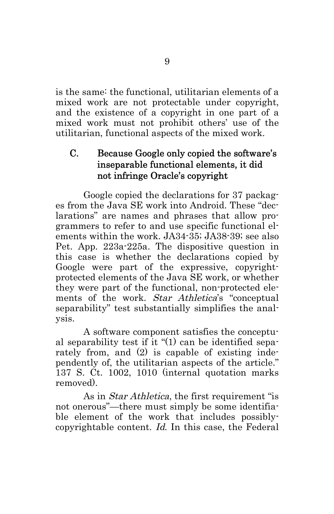is the same: the functional, utilitarian elements of a mixed work are not protectable under copyright, and the existence of a copyright in one part of a mixed work must not prohibit others' use of the utilitarian, functional aspects of the mixed work.

# C. Because Google only copied the software's inseparable functional elements, it did not infringe Oracle's copyright

Google copied the declarations for 37 packages from the Java SE work into Android. These "declarations" are names and phrases that allow programmers to refer to and use specific functional elements within the work. JA34-35; JA38-39; see also Pet. App. 223a-225a. The dispositive question in this case is whether the declarations copied by Google were part of the expressive, copyrightprotected elements of the Java SE work, or whether they were part of the functional, non-protected elements of the work. Star Athletica's "conceptual separability" test substantially simplifies the analysis.

A software component satisfies the conceptual separability test if it "(1) can be identified separately from, and (2) is capable of existing independently of, the utilitarian aspects of the article." 137 S. Ct. 1002, 1010 (internal quotation marks removed).

As in Star Athletica, the first requirement "is not onerous"—there must simply be some identifiable element of the work that includes possiblycopyrightable content. Id. In this case, the Federal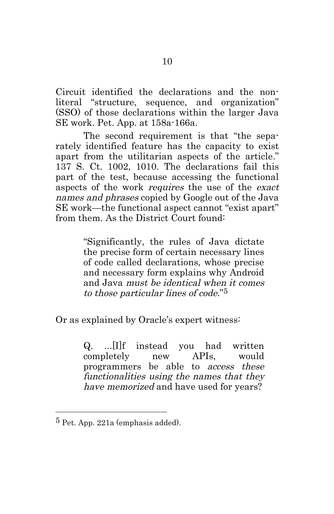Circuit identified the declarations and the nonliteral "structure, sequence, and organization" (SSO) of those declarations within the larger Java SE work. Pet. App. at 158a-166a.

The second requirement is that "the separately identified feature has the capacity to exist apart from the utilitarian aspects of the article." 137 S. Ct. 1002, 1010. The declarations fail this part of the test, because accessing the functional aspects of the work requires the use of the exact names and phrases copied by Google out of the Java SE work—the functional aspect cannot "exist apart" from them. As the District Court found:

> "Significantly, the rules of Java dictate the precise form of certain necessary lines of code called declarations, whose precise and necessary form explains why Android and Java must be identical when it comes to those particular lines of code."5

Or as explained by Oracle's expert witness:

Q. ...[I]f instead you had written completely new APIs, would programmers be able to access these functionalities using the names that they have memorized and have used for years?

<sup>5</sup> Pet. App. 221a (emphasis added).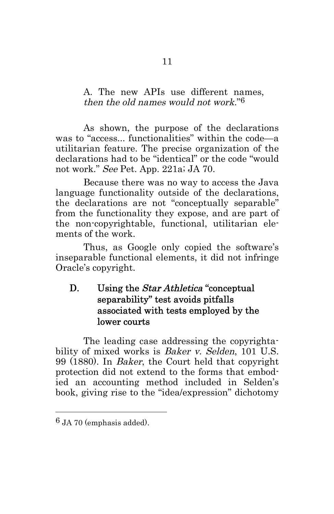### A. The new APIs use different names, then the old names would not work."6

As shown, the purpose of the declarations was to "access... functionalities" within the code—a utilitarian feature. The precise organization of the declarations had to be "identical" or the code "would not work." See Pet. App. 221a; JA 70.

Because there was no way to access the Java language functionality outside of the declarations, the declarations are not "conceptually separable" from the functionality they expose, and are part of the non-copyrightable, functional, utilitarian elements of the work.

Thus, as Google only copied the software's inseparable functional elements, it did not infringe Oracle's copyright.

# D. Using the *Star Athletica* "conceptual" separability" test avoids pitfalls associated with tests employed by the lower courts

The leading case addressing the copyrightability of mixed works is Baker v. Selden, 101 U.S. 99 (1880). In Baker, the Court held that copyright protection did not extend to the forms that embodied an accounting method included in Selden's book, giving rise to the "idea/expression" dichotomy

<sup>6</sup> JA 70 (emphasis added).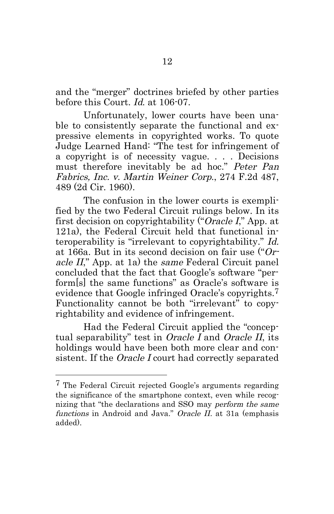and the "merger" doctrines briefed by other parties before this Court. Id. at 106-07.

Unfortunately, lower courts have been unable to consistently separate the functional and expressive elements in copyrighted works. To quote Judge Learned Hand: "The test for infringement of a copyright is of necessity vague. . . . Decisions must therefore inevitably be ad hoc." Peter Pan Fabrics, Inc. v. Martin Weiner Corp., 274 F.2d 487, 489 (2d Cir. 1960).

The confusion in the lower courts is exemplified by the two Federal Circuit rulings below. In its first decision on copyrightability ("Oracle I," App. at 121a), the Federal Circuit held that functional interoperability is "irrelevant to copyrightability." Id. at 166a. But in its second decision on fair use ("Oracle II," App. at 1a) the same Federal Circuit panel concluded that the fact that Google's software "perform[s] the same functions" as Oracle's software is evidence that Google infringed Oracle's copyrights.7 Functionality cannot be both "irrelevant" to copyrightability and evidence of infringement.

Had the Federal Circuit applied the "conceptual separability" test in Oracle I and Oracle II, its holdings would have been both more clear and consistent. If the Oracle I court had correctly separated

<sup>7</sup> The Federal Circuit rejected Google's arguments regarding the significance of the smartphone context, even while recognizing that "the declarations and SSO may perform the same functions in Android and Java." Oracle II. at 31a (emphasis added).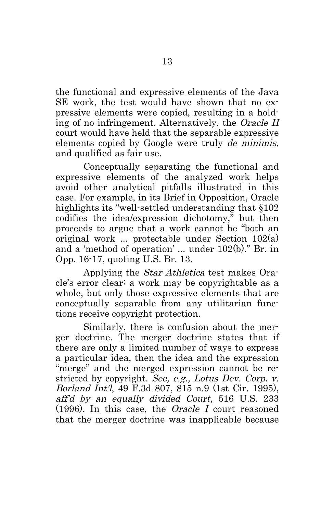the functional and expressive elements of the Java SE work, the test would have shown that no expressive elements were copied, resulting in a holding of no infringement. Alternatively, the Oracle II court would have held that the separable expressive elements copied by Google were truly de minimis, and qualified as fair use.

Conceptually separating the functional and expressive elements of the analyzed work helps avoid other analytical pitfalls illustrated in this case. For example, in its Brief in Opposition, Oracle highlights its "well-settled understanding that §102 codifies the idea/expression dichotomy," but then proceeds to argue that a work cannot be "both an original work ... protectable under Section 102(a) and a 'method of operation' ... under 102(b)." Br. in Opp. 16-17, quoting U.S. Br. 13.

Applying the Star Athletica test makes Oracle's error clear: a work may be copyrightable as a whole, but only those expressive elements that are conceptually separable from any utilitarian functions receive copyright protection.

Similarly, there is confusion about the merger doctrine. The merger doctrine states that if there are only a limited number of ways to express a particular idea, then the idea and the expression "merge" and the merged expression cannot be restricted by copyright. See, e.g., Lotus Dev. Corp. v. Borland Int'l, 49 F.3d 807, 815 n.9 (1st Cir. 1995), aff'd by an equally divided Court, 516 U.S. 233 (1996). In this case, the Oracle I court reasoned that the merger doctrine was inapplicable because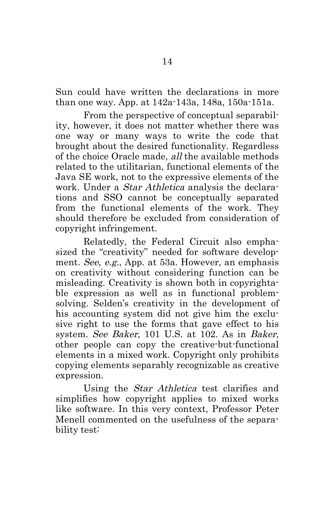Sun could have written the declarations in more than one way. App. at 142a-143a, 148a, 150a-151a.

From the perspective of conceptual separability, however, it does not matter whether there was one way or many ways to write the code that brought about the desired functionality. Regardless of the choice Oracle made, all the available methods related to the utilitarian, functional elements of the Java SE work, not to the expressive elements of the work. Under a *Star Athletica* analysis the declarations and SSO cannot be conceptually separated from the functional elements of the work. They should therefore be excluded from consideration of copyright infringement.

Relatedly, the Federal Circuit also emphasized the "creativity" needed for software development. See, e.g., App. at 53a. However, an emphasis on creativity without considering function can be misleading. Creativity is shown both in copyrightable expression as well as in functional problemsolving. Selden's creativity in the development of his accounting system did not give him the exclusive right to use the forms that gave effect to his system. See Baker, 101 U.S. at 102. As in Baker, other people can copy the creative-but-functional elements in a mixed work. Copyright only prohibits copying elements separably recognizable as creative expression.

Using the *Star Athletica* test clarifies and simplifies how copyright applies to mixed works like software. In this very context, Professor Peter Menell commented on the usefulness of the separability test: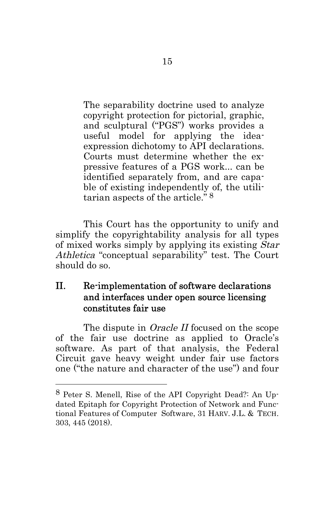The separability doctrine used to analyze copyright protection for pictorial, graphic, and sculptural ("PGS") works provides a useful model for applying the ideaexpression dichotomy to API declarations. Courts must determine whether the expressive features of a PGS work... can be identified separately from, and are capable of existing independently of, the utilitarian aspects of the article." 8

This Court has the opportunity to unify and simplify the copyrightability analysis for all types of mixed works simply by applying its existing Star Athletica "conceptual separability" test. The Court should do so.

### II. Re-implementation of software declarations and interfaces under open source licensing constitutes fair use

The dispute in *Oracle II* focused on the scope of the fair use doctrine as applied to Oracle's software. As part of that analysis, the Federal Circuit gave heavy weight under fair use factors one ("the nature and character of the use") and four

<sup>8</sup> Peter S. Menell, Rise of the API Copyright Dead?: An Updated Epitaph for Copyright Protection of Network and Functional Features of Computer Software, 31 HARV. J.L. & TECH. 303, 445 (2018).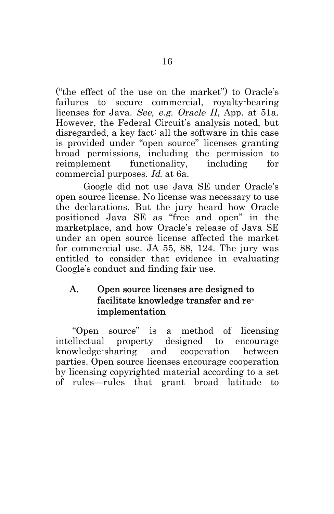("the effect of the use on the market") to Oracle's failures to secure commercial, royalty-bearing licenses for Java. See, e.g. Oracle II, App. at 51a. However, the Federal Circuit's analysis noted, but disregarded, a key fact: all the software in this case is provided under "open source" licenses granting broad permissions, including the permission to reimplement functionality, including for commercial purposes. Id. at 6a.

Google did not use Java SE under Oracle's open source license. No license was necessary to use the declarations. But the jury heard how Oracle positioned Java SE as "free and open" in the marketplace, and how Oracle's release of Java SE under an open source license affected the market for commercial use. JA 55, 88, 124. The jury was entitled to consider that evidence in evaluating Google's conduct and finding fair use.

# A. Open source licenses are designed to facilitate knowledge transfer and reimplementation

"Open source" is a method of licensing intellectual property designed to encourage knowledge-sharing and cooperation between parties. Open source licenses encourage cooperation by licensing copyrighted material according to a set of rules—rules that grant broad latitude to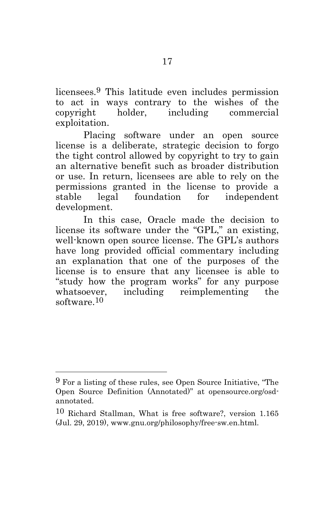licensees.9 This latitude even includes permission to act in ways contrary to the wishes of the copyright holder, including commercial exploitation.

Placing software under an open source license is a deliberate, strategic decision to forgo the tight control allowed by copyright to try to gain an alternative benefit such as broader distribution or use. In return, licensees are able to rely on the permissions granted in the license to provide a stable legal foundation for independent development.

In this case, Oracle made the decision to license its software under the "GPL," an existing, well-known open source license. The GPL's authors have long provided official commentary including an explanation that one of the purposes of the license is to ensure that any licensee is able to "study how the program works" for any purpose including reimplementing the software.10

 $\overline{a}$ 

<sup>9</sup> For a listing of these rules, see Open Source Initiative, "The Open Source Definition (Annotated)" at [opensource.org/osd](https://opensource.org/osd-annotated)[annotated.](https://opensource.org/osd-annotated)

<sup>10</sup> Richard Stallman, What is free software?, version 1.165 (Jul. 29, 2019), www.gnu.org/philosophy/free-sw.en.html.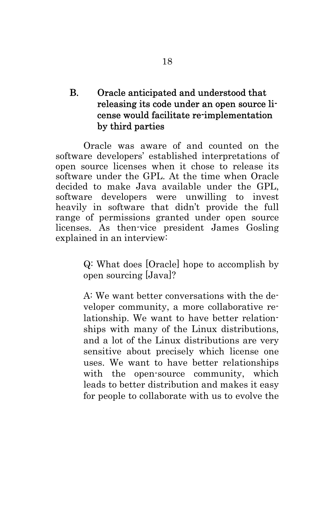# B. Oracle anticipated and understood that releasing its code under an open source license would facilitate re-implementation by third parties

Oracle was aware of and counted on the software developers' established interpretations of open source licenses when it chose to release its software under the GPL. At the time when Oracle decided to make Java available under the GPL, software developers were unwilling to invest heavily in software that didn't provide the full range of permissions granted under open source licenses. As then-vice president James Gosling explained in an interview:

> Q: What does [Oracle] hope to accomplish by open sourcing [Java]?

> A: We want better conversations with the developer community, a more collaborative relationship. We want to have better relationships with many of the Linux distributions, and a lot of the Linux distributions are very sensitive about precisely which license one uses. We want to have better relationships with the open-source community, which leads to better distribution and makes it easy for people to collaborate with us to evolve the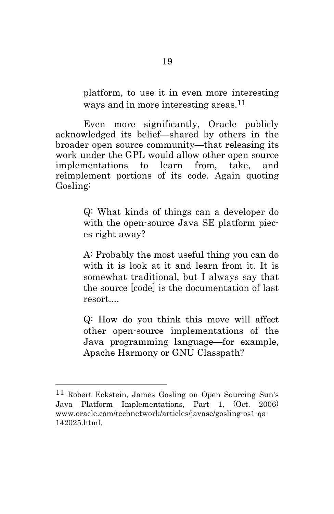platform, to use it in even more interesting ways and in more interesting areas.<sup>11</sup>

Even more significantly, Oracle publicly acknowledged its belief—shared by others in the broader open source community—that releasing its work under the GPL would allow other open source implementations to learn from, take, and reimplement portions of its code. Again quoting Gosling:

> Q: What kinds of things can a developer do with the open-source Java SE platform pieces right away?

> A: Probably the most useful thing you can do with it is look at it and learn from it. It is somewhat traditional, but I always say that the source [code] is the documentation of last resort....

> Q: How do you think this move will affect other open-source implementations of the Java programming language—for example, Apache Harmony or GNU Classpath?

<sup>11</sup> Robert Eckstein, James Gosling on Open Sourcing Sun's Java Platform Implementations, Part 1, (Oct. 2006) www.oracle.com/technetwork/articles/javase/gosling-os1-qa-142025.html.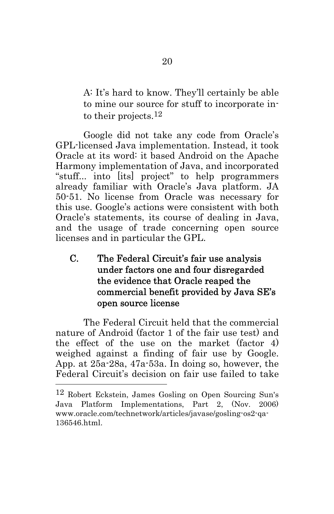A: It's hard to know. They'll certainly be able to mine our source for stuff to incorporate into their projects.12

Google did not take any code from Oracle's GPL-licensed Java implementation. Instead, it took Oracle at its word: it based Android on the Apache Harmony implementation of Java, and incorporated "stuff... into [its] project" to help programmers already familiar with Oracle's Java platform. JA 50-51. No license from Oracle was necessary for this use. Google's actions were consistent with both Oracle's statements, its course of dealing in Java, and the usage of trade concerning open source licenses and in particular the GPL.

# C. The Federal Circuit's fair use analysis under factors one and four disregarded the evidence that Oracle reaped the commercial benefit provided by Java SE's open source license

The Federal Circuit held that the commercial nature of Android (factor 1 of the fair use test) and the effect of the use on the market (factor 4) weighed against a finding of fair use by Google. App. at 25a-28a, 47a-53a. In doing so, however, the Federal Circuit's decision on fair use failed to take

<sup>12</sup> Robert Eckstein, James Gosling on Open Sourcing Sun's Java Platform Implementations, Part 2, (Nov. 2006) www.oracle.com/technetwork/articles/javase/gosling-os2-qa-136546.html.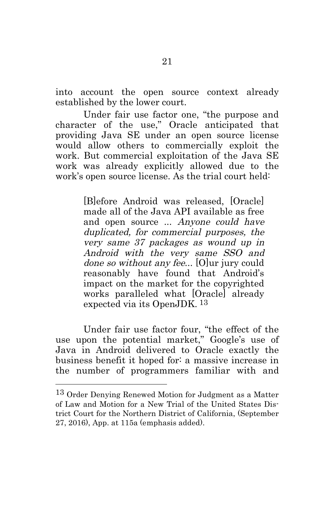into account the open source context already established by the lower court.

Under fair use factor one, "the purpose and character of the use," Oracle anticipated that providing Java SE under an open source license would allow others to commercially exploit the work. But commercial exploitation of the Java SE work was already explicitly allowed due to the work's open source license. As the trial court held:

> [B]efore Android was released, [Oracle] made all of the Java API available as free and open source ... Anyone could have duplicated, for commercial purposes, the very same 37 packages as wound up in Android with the very same SSO and done so without any fee... [O]ur jury could reasonably have found that Android's impact on the market for the copyrighted works paralleled what [Oracle] already expected via its OpenJDK. 13

Under fair use factor four, "the effect of the use upon the potential market," Google's use of Java in Android delivered to Oracle exactly the business benefit it hoped for: a massive increase in the number of programmers familiar with and

<sup>13</sup> Order Denying Renewed Motion for Judgment as a Matter of Law and Motion for a New Trial of the United States District Court for the Northern District of California, (September 27, 2016), App. at 115a (emphasis added).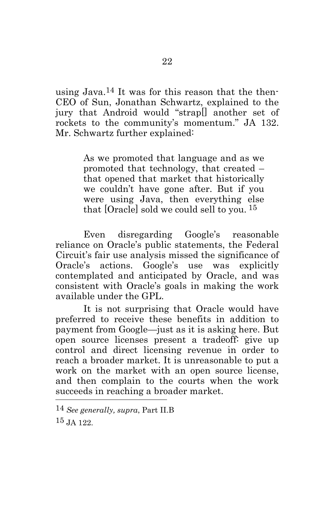using Java.14 It was for this reason that the then-CEO of Sun, Jonathan Schwartz, explained to the jury that Android would "strap[] another set of rockets to the community's momentum." JA 132. Mr. Schwartz further explained:

> As we promoted that language and as we promoted that technology, that created – that opened that market that historically we couldn't have gone after. But if you were using Java, then everything else that [Oracle] sold we could sell to you. 15

Even disregarding Google's reasonable reliance on Oracle's public statements, the Federal Circuit's fair use analysis missed the significance of Oracle's actions. Google's use was explicitly contemplated and anticipated by Oracle, and was consistent with Oracle's goals in making the work available under the GPL.

It is not surprising that Oracle would have preferred to receive these benefits in addition to payment from Google—just as it is asking here. But open source licenses present a tradeoff: give up control and direct licensing revenue in order to reach a broader market. It is unreasonable to put a work on the market with an open source license, and then complain to the courts when the work succeeds in reaching a broader market.  $\overline{a}$ 

<sup>14</sup> *See generally, supra*, Part II.B

<sup>15</sup> JA 122.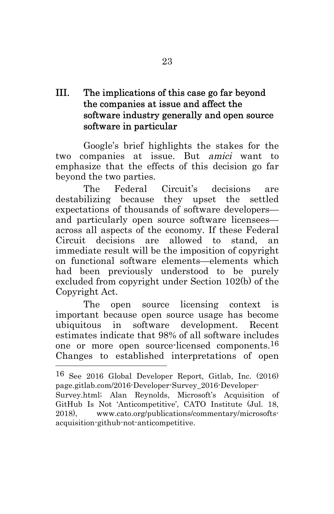# III. The implications of this case go far beyond the companies at issue and affect the software industry generally and open source software in particular

Google's brief highlights the stakes for the two companies at issue. But amici want to emphasize that the effects of this decision go far beyond the two parties.

The Federal Circuit's decisions are destabilizing because they upset the settled expectations of thousands of software developers and particularly open source software licensees across all aspects of the economy. If these Federal Circuit decisions are allowed to stand, an immediate result will be the imposition of copyright on functional software elements—elements which had been previously understood to be purely excluded from copyright under Section 102(b) of the Copyright Act.

The open source licensing context is important because open source usage has become ubiquitous in software development. Recent estimates indicate that 98% of all software includes one or more open source-licensed components.16 Changes to established interpretations of open

<sup>16</sup> See 2016 Global Developer Report, Gitlab, Inc. (2016) page.gitlab.com/2016-Developer-Survey\_2016-Developer-Survey.html; Alan Reynolds, Microsoft's Acquisition of GitHub Is Not 'Anticompetitive', CATO Institute (Jul. 18, 2018), www.cato.org/publications/commentary/microsoftsacquisition-github-not-anticompetitive.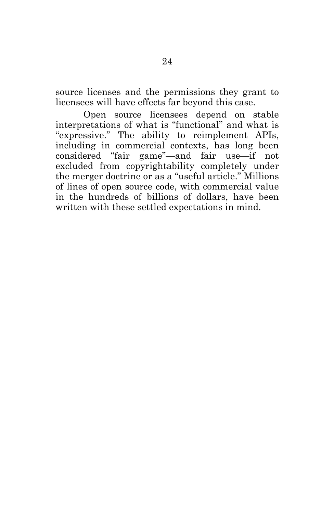source licenses and the permissions they grant to licensees will have effects far beyond this case.

Open source licensees depend on stable interpretations of what is "functional" and what is "expressive." The ability to reimplement APIs, including in commercial contexts, has long been considered "fair game"—and fair use—if not excluded from copyrightability completely under the merger doctrine or as a "useful article." Millions of lines of open source code, with commercial value in the hundreds of billions of dollars, have been written with these settled expectations in mind.